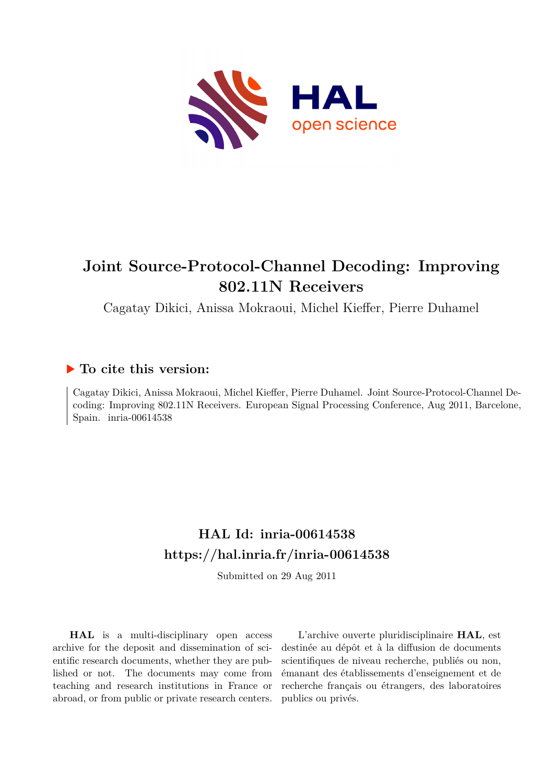

# **Joint Source-Protocol-Channel Decoding: Improving 802.11N Receivers**

Cagatay Dikici, Anissa Mokraoui, Michel Kieffer, Pierre Duhamel

## **To cite this version:**

Cagatay Dikici, Anissa Mokraoui, Michel Kieffer, Pierre Duhamel. Joint Source-Protocol-Channel Decoding: Improving 802.11N Receivers. European Signal Processing Conference, Aug 2011, Barcelone, Spain. inria-00614538

# **HAL Id: inria-00614538 <https://hal.inria.fr/inria-00614538>**

Submitted on 29 Aug 2011

**HAL** is a multi-disciplinary open access archive for the deposit and dissemination of scientific research documents, whether they are published or not. The documents may come from teaching and research institutions in France or abroad, or from public or private research centers.

L'archive ouverte pluridisciplinaire **HAL**, est destinée au dépôt et à la diffusion de documents scientifiques de niveau recherche, publiés ou non, émanant des établissements d'enseignement et de recherche français ou étrangers, des laboratoires publics ou privés.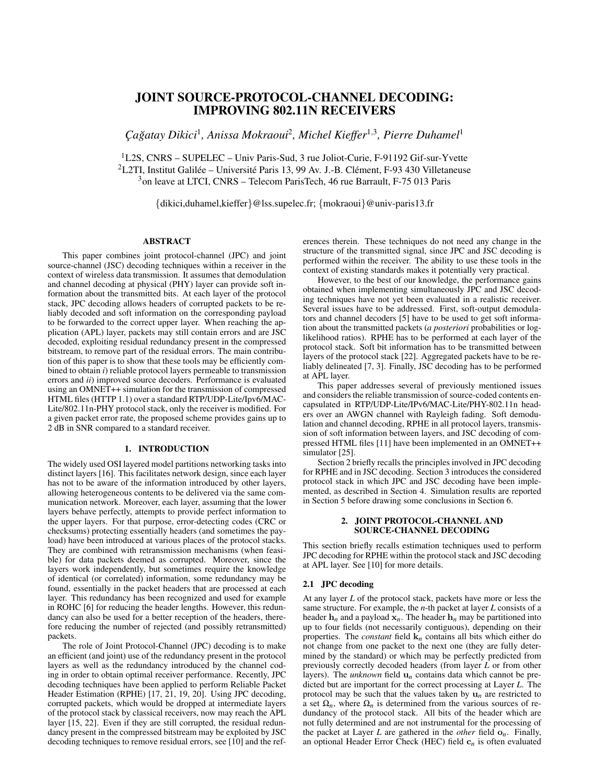## JOINT SOURCE-PROTOCOL-CHANNEL DECODING: IMPROVING 802.11N RECEIVERS

*C¸ agatay Dikici ˘* 1 *, Anissa Mokraoui*<sup>2</sup> *, Michel Kieffer*<sup>1</sup>,<sup>3</sup> *, Pierre Duhamel*<sup>1</sup>

<sup>1</sup>L2S, CNRS – SUPELEC – Univ Paris-Sud, 3 rue Joliot-Curie, F-91192 Gif-sur-Yvette <sup>2</sup>L2TI, Institut Galilée – Université Paris 13, 99 Av. J.-B. Clément, F-93 430 Villetaneuse <sup>3</sup>on leave at LTCI, CNRS – Telecom ParisTech, 46 rue Barrault, F-75 013 Paris

{dikici,duhamel,kieffer}@lss.supelec.fr; {mokraoui}@univ-paris13.fr

## ABSTRACT

This paper combines joint protocol-channel (JPC) and joint source-channel (JSC) decoding techniques within a receiver in the context of wireless data transmission. It assumes that demodulation and channel decoding at physical (PHY) layer can provide soft information about the transmitted bits. At each layer of the protocol stack, JPC decoding allows headers of corrupted packets to be reliably decoded and soft information on the corresponding payload to be forwarded to the correct upper layer. When reaching the application (APL) layer, packets may still contain errors and are JSC decoded, exploiting residual redundancy present in the compressed bitstream, to remove part of the residual errors. The main contribution of this paper is to show that these tools may be efficiently combined to obtain *i*) reliable protocol layers permeable to transmission errors and *ii*) improved source decoders. Performance is evaluated using an OMNET++ simulation for the transmission of compressed HTML files (HTTP 1.1) over a standard RTP/UDP-Lite/Ipv6/MAC-Lite/802.11n-PHY protocol stack, only the receiver is modified. For a given packet error rate, the proposed scheme provides gains up to 2 dB in SNR compared to a standard receiver.

#### 1. INTRODUCTION

The widely used OSI layered model partitions networking tasks into distinct layers [16]. This facilitates network design, since each layer has not to be aware of the information introduced by other layers, allowing heterogeneous contents to be delivered via the same communication network. Moreover, each layer, assuming that the lower layers behave perfectly, attempts to provide perfect information to the upper layers. For that purpose, error-detecting codes (CRC or checksums) protecting essentially headers (and sometimes the payload) have been introduced at various places of the protocol stacks. They are combined with retransmission mechanisms (when feasible) for data packets deemed as corrupted. Moreover, since the layers work independently, but sometimes require the knowledge of identical (or correlated) information, some redundancy may be found, essentially in the packet headers that are processed at each layer. This redundancy has been recognized and used for example in ROHC [6] for reducing the header lengths. However, this redundancy can also be used for a better reception of the headers, therefore reducing the number of rejected (and possibly retransmitted) packets.

The role of Joint Protocol-Channel (JPC) decoding is to make an efficient (and joint) use of the redundancy present in the protocol layers as well as the redundancy introduced by the channel coding in order to obtain optimal receiver performance. Recently, JPC decoding techniques have been applied to perform Reliable Packet Header Estimation (RPHE) [17, 21, 19, 20]. Using JPC decoding, corrupted packets, which would be dropped at intermediate layers of the protocol stack by classical receivers, now may reach the APL layer [15, 22]. Even if they are still corrupted, the residual redundancy present in the compressed bitstream may be exploited by JSC decoding techniques to remove residual errors, see [10] and the references therein. These techniques do not need any change in the structure of the transmitted signal, since JPC and JSC decoding is performed within the receiver. The ability to use these tools in the context of existing standards makes it potentially very practical.

However, to the best of our knowledge, the performance gains obtained when implementing simultaneously JPC and JSC decoding techniques have not yet been evaluated in a realistic receiver. Several issues have to be addressed. First, soft-output demodulators and channel decoders [5] have to be used to get soft information about the transmitted packets (*a posteriori* probabilities or loglikelihood ratios). RPHE has to be performed at each layer of the protocol stack. Soft bit information has to be transmitted between layers of the protocol stack [22]. Aggregated packets have to be reliably delineated [7, 3]. Finally, JSC decoding has to be performed at APL layer.

This paper addresses several of previously mentioned issues and considers the reliable transmission of source-coded contents encapsulated in RTP/UDP-Lite/IPv6/MAC-Lite/PHY-802.11n headers over an AWGN channel with Rayleigh fading. Soft demodulation and channel decoding, RPHE in all protocol layers, transmission of soft information between layers, and JSC decoding of compressed HTML files [11] have been implemented in an OMNET++ simulator [25].

Section 2 briefly recalls the principles involved in JPC decoding for RPHE and in JSC decoding. Section 3 introduces the considered protocol stack in which JPC and JSC decoding have been implemented, as described in Section 4. Simulation results are reported in Section 5 before drawing some conclusions in Section 6.

### 2. JOINT PROTOCOL-CHANNEL AND SOURCE-CHANNEL DECODING

This section briefly recalls estimation techniques used to perform JPC decoding for RPHE within the protocol stack and JSC decoding at APL layer. See [10] for more details.

#### 2.1 JPC decoding

At any layer *L* of the protocol stack, packets have more or less the same structure. For example, the *n*-th packet at layer *L* consists of a header  $h_n$  and a payload  $x_n$ . The header  $h_n$  may be partitioned into up to four fields (not necessarily contiguous), depending on their properties. The *constant* field k*n* contains all bits which either do not change from one packet to the next one (they are fully determined by the standard) or which may be perfectly predicted from previously correctly decoded headers (from layer *L* or from other layers). The *unknown* field  $\mathbf{u}_n$  contains data which cannot be predicted but are important for the correct processing at Layer *L*. The protocol may be such that the values taken by  $\mathbf{u}_n$  are restricted to a set  $\Omega_n$ , where  $\Omega_n$  is determined from the various sources of redundancy of the protocol stack. All bits of the header which are not fully determined and are not instrumental for the processing of the packet at Layer  $L$  are gathered in the *other* field  $\mathbf{o}_n$ . Finally, an optional Header Error Check (HEC) field c*n* is often evaluated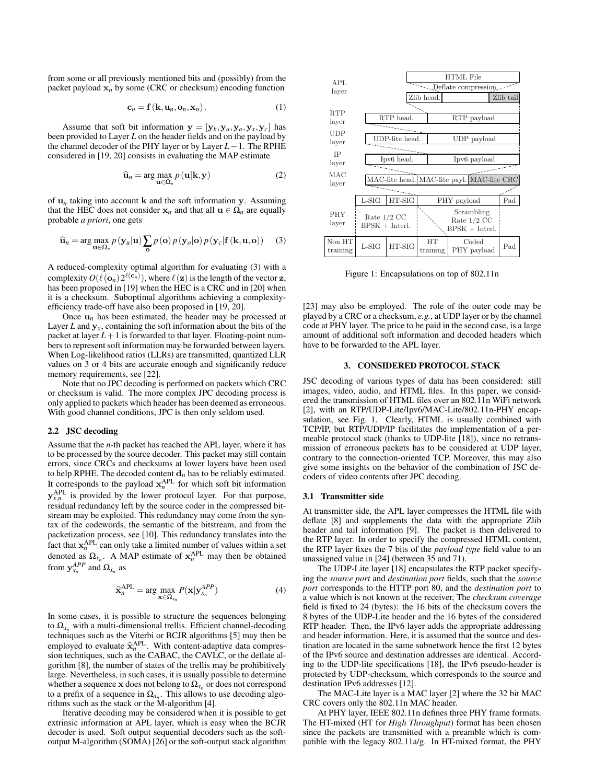from some or all previously mentioned bits and (possibly) from the packet payload  $x_n$  by some (CRC or checksum) encoding function

$$
\mathbf{c}_n = \mathbf{f}(\mathbf{k}, \mathbf{u}_n, \mathbf{o}_n, \mathbf{x}_n). \tag{1}
$$

Assume that soft bit information  $y = [y_k, y_u, y_o, y_x, y_c]$  has been provided to Layer *L* on the header fields and on the payload by the channel decoder of the PHY layer or by Layer *L*−1. The RPHE considered in [19, 20] consists in evaluating the MAP estimate

$$
\widehat{\mathbf{u}}_n = \arg \max_{\mathbf{u} \in \Omega_n} p(\mathbf{u}|\mathbf{k}, \mathbf{y})
$$
 (2)

of  $\mathbf{u}_n$  taking into account **k** and the soft information **y**. Assuming that the HEC does not consider  $x_n$  and that all  $u \in \Omega_n$  are equally probable *a priori*, one gets

$$
\widehat{\mathbf{u}}_n = \arg \max_{\mathbf{u} \in \Omega_n} p(\mathbf{y}_u | \mathbf{u}) \sum_{\mathbf{o}} p(\mathbf{o}) p(\mathbf{y}_o | \mathbf{o}) p(\mathbf{y}_c | \mathbf{f} (\mathbf{k}, \mathbf{u}, \mathbf{o})) \tag{3}
$$

A reduced-complexity optimal algorithm for evaluating (3) with a complexity  $O(\ell({\bf o}_n) 2^{\ell({\bf c}_n)})$ , where  $\ell({\bf z})$  is the length of the vector  ${\bf z}$ , has been proposed in [19] when the HEC is a CRC and in [20] when it is a checksum. Suboptimal algorithms achieving a complexityefficiency trade-off have also been proposed in [19, 20].

Once  $\mathbf{u}_n$  has been estimated, the header may be processed at Layer *L* and  $y_x$ , containing the soft information about the bits of the packet at layer  $L+1$  is forwarded to that layer. Floating-point numbers to represent soft information may be forwarded between layers. When Log-likelihood ratios (LLRs) are transmitted, quantized LLR values on 3 or 4 bits are accurate enough and significantly reduce memory requirements, see [22].

Note that no JPC decoding is performed on packets which CRC or checksum is valid. The more complex JPC decoding process is only applied to packets which header has been deemed as erroneous. With good channel conditions, JPC is then only seldom used.

#### 2.2 JSC decoding

Assume that the *n*-th packet has reached the APL layer, where it has to be processed by the source decoder. This packet may still contain errors, since CRCs and checksums at lower layers have been used to help RPHE. The decoded content  $\mathbf{d}_n$  has to be reliably estimated. It corresponds to the payload  $x_n^{APL}$  for which soft bit information  $y_{x,n}^{\text{APL}}$  is provided by the lower protocol layer. For that purpose, residual redundancy left by the source coder in the compressed bitstream may be exploited. This redundancy may come from the syntax of the codewords, the semantic of the bitstream, and from the packetization process, see [10]. This redundancy translates into the fact that  $x_n^{APL}$  can only take a limited number of values within a set denoted as  $\Omega_{x_n}$ . A MAP estimate of  $x_n^{APL}$  may then be obtained from  $y_{x_n}^{APP}$  and  $\Omega_{x_n}$  as

$$
\widehat{\mathbf{x}}_{n}^{\text{APL}} = \arg \max_{\mathbf{x} \in \Omega_{x_n}} P(\mathbf{x} | \mathbf{y}_{x_n}^{\text{APP}})
$$
(4)

In some cases, it is possible to structure the sequences belonging to  $\Omega_{x_n}$  with a multi-dimensional trellis. Efficient channel-decoding techniques such as the Viterbi or BCJR algorithms [5] may then be employed to evaluate  $\hat{\mathbf{x}}_{n}^{\text{APL}}$ . With content-adaptive data compression techniques, such as the CABAC, the CAVLC, or the deflate alsion techniques, such as the CABAC, the CAVLC, or the deflate algorithm [8], the number of states of the trellis may be prohibitively large. Nevertheless, in such cases, it is usually possible to determine whether a sequence  ${\bf x}$  does not belong to  $\Omega_{x_n}$  or does not correspond to a prefix of a sequence in  $\Omega_{x_n}$ . This allows to use decoding algorithms such as the stack or the M-algorithm [4].

Iterative decoding may be considered when it is possible to get extrinsic information at APL layer, which is easy when the BCJR decoder is used. Soft output sequential decoders such as the softoutput M-algorithm (SOMA) [26] or the soft-output stack algorithm



Figure 1: Encapsulations on top of 802.11n

[23] may also be employed. The role of the outer code may be played by a CRC or a checksum, *e.g.*, at UDP layer or by the channel code at PHY layer. The price to be paid in the second case, is a large amount of additional soft information and decoded headers which have to be forwarded to the APL layer.

## 3. CONSIDERED PROTOCOL STACK

JSC decoding of various types of data has been considered: still images, video, audio, and HTML files. In this paper, we considered the transmission of HTML files over an 802.11n WiFi network [2], with an RTP/UDP-Lite/Ipv6/MAC-Lite/802.11n-PHY encapsulation, see Fig. 1. Clearly, HTML is usually combined with TCP/IP, but RTP/UDP/IP facilitates the implementation of a permeable protocol stack (thanks to UDP-lite [18]), since no retransmission of erroneous packets has to be considered at UDP layer, contrary to the connection-oriented TCP. Moreover, this may also give some insights on the behavior of the combination of JSC decoders of video contents after JPC decoding.

#### 3.1 Transmitter side

At transmitter side, the APL layer compresses the HTML file with deflate [8] and supplements the data with the appropriate Zlib header and tail information [9]. The packet is then delivered to the RTP layer. In order to specify the compressed HTML content, the RTP layer fixes the 7 bits of the *payload type* field value to an unassigned value in [24] (between 35 and 71).

The UDP-Lite layer [18] encapsulates the RTP packet specifying the *source port* and *destination port* fields, such that the *source port* corresponds to the HTTP port 80, and the *destination port* to a value which is not known at the receiver, The *checksum coverage* field is fixed to 24 (bytes): the 16 bits of the checksum covers the 8 bytes of the UDP-Lite header and the 16 bytes of the considered RTP header. Then, the IPv6 layer adds the appropriate addressing and header information. Here, it is assumed that the source and destination are located in the same subnetwork hence the first 12 bytes of the IPv6 source and destination addresses are identical. According to the UDP-lite specifications [18], the IPv6 pseudo-header is protected by UDP-checksum, which corresponds to the source and destination IPv6 addresses [12].

The MAC-Lite layer is a MAC layer [2] where the 32 bit MAC CRC covers only the 802.11n MAC header.

At PHY layer, IEEE 802.11n defines three PHY frame formats. The HT-mixed (HT for *High Throughput*) format has been chosen since the packets are transmitted with a preamble which is compatible with the legacy 802.11a/g. In HT-mixed format, the PHY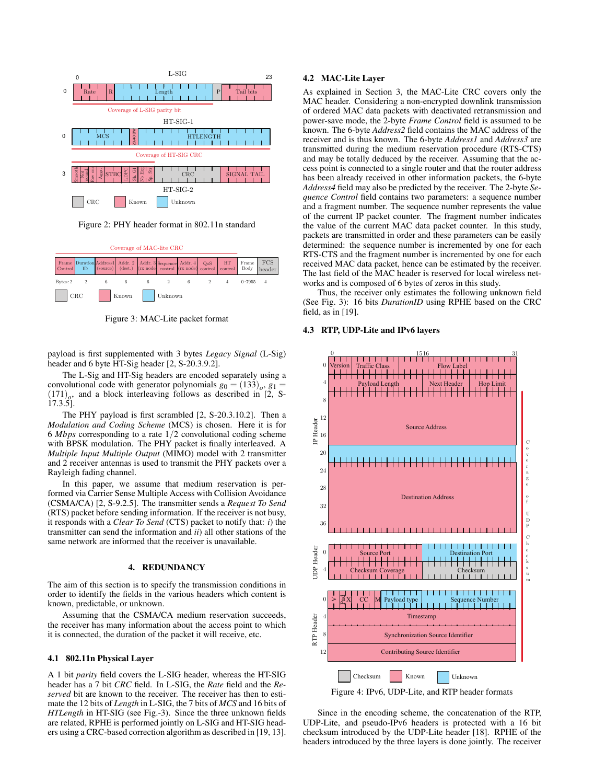

Figure 2: PHY header format in 802.11n standard



Figure 3: MAC-Lite packet format

payload is first supplemented with 3 bytes *Legacy Signal* (L-Sig) header and 6 byte HT-Sig header [2, S-20.3.9.2].

The L-Sig and HT-Sig headers are encoded separately using a convolutional code with generator polynomials  $g_0 = (133)_o$ ,  $g_1 =$  $(171)$ <sub>o</sub>, and a block interleaving follows as described in [2, S-17.3.5].

The PHY payload is first scrambled [2, S-20.3.10.2]. Then a *Modulation and Coding Scheme* (MCS) is chosen. Here it is for 6 *Mbps* corresponding to a rate 1/2 convolutional coding scheme with BPSK modulation. The PHY packet is finally interleaved. A *Multiple Input Multiple Output* (MIMO) model with 2 transmitter and 2 receiver antennas is used to transmit the PHY packets over a Rayleigh fading channel.

In this paper, we assume that medium reservation is performed via Carrier Sense Multiple Access with Collision Avoidance (CSMA/CA) [2, S-9.2.5]. The transmitter sends a *Request To Send* (RTS) packet before sending information. If the receiver is not busy, it responds with a *Clear To Send* (CTS) packet to notify that: *i*) the transmitter can send the information and *ii*) all other stations of the same network are informed that the receiver is unavailable.

## 4. REDUNDANCY

The aim of this section is to specify the transmission conditions in order to identify the fields in the various headers which content is known, predictable, or unknown.

Assuming that the CSMA/CA medium reservation succeeds, the receiver has many information about the access point to which it is connected, the duration of the packet it will receive, etc.

## 4.1 802.11n Physical Layer

A 1 bit *parity* field covers the L-SIG header, whereas the HT-SIG header has a 7 bit *CRC* field. In L-SIG, the *Rate* field and the *Reserved* bit are known to the receiver. The receiver has then to estimate the 12 bits of *Length* in L-SIG, the 7 bits of *MCS* and 16 bits of *HTLength* in HT-SIG (see Fig.-3). Since the three unknown fields are related, RPHE is performed jointly on L-SIG and HT-SIG headers using a CRC-based correction algorithm as described in [19, 13].

#### 4.2 MAC-Lite Layer

As explained in Section 3, the MAC-Lite CRC covers only the MAC header. Considering a non-encrypted downlink transmission of ordered MAC data packets with deactivated retransmission and power-save mode, the 2-byte *Frame Control* field is assumed to be known. The 6-byte *Address2* field contains the MAC address of the receiver and is thus known. The 6-byte *Address1* and *Address3* are transmitted during the medium reservation procedure (RTS-CTS) and may be totally deduced by the receiver. Assuming that the access point is connected to a single router and that the router address has been already received in other information packets, the 6-byte *Address4* field may also be predicted by the receiver. The 2-byte *Sequence Control* field contains two parameters: a sequence number and a fragment number. The sequence number represents the value of the current IP packet counter. The fragment number indicates the value of the current MAC data packet counter. In this study, packets are transmitted in order and these parameters can be easily determined: the sequence number is incremented by one for each RTS-CTS and the fragment number is incremented by one for each received MAC data packet, hence can be estimated by the receiver. The last field of the MAC header is reserved for local wireless networks and is composed of 6 bytes of zeros in this study.

Thus, the receiver only estimates the following unknown field (See Fig. 3): 16 bits *DurationID* using RPHE based on the CRC field, as in  $[19]$ .

#### 4.3 RTP, UDP-Lite and IPv6 layers





Since in the encoding scheme, the concatenation of the RTP, UDP-Lite, and pseudo-IPv6 headers is protected with a 16 bit checksum introduced by the UDP-Lite header [18]. RPHE of the headers introduced by the three layers is done jointly. The receiver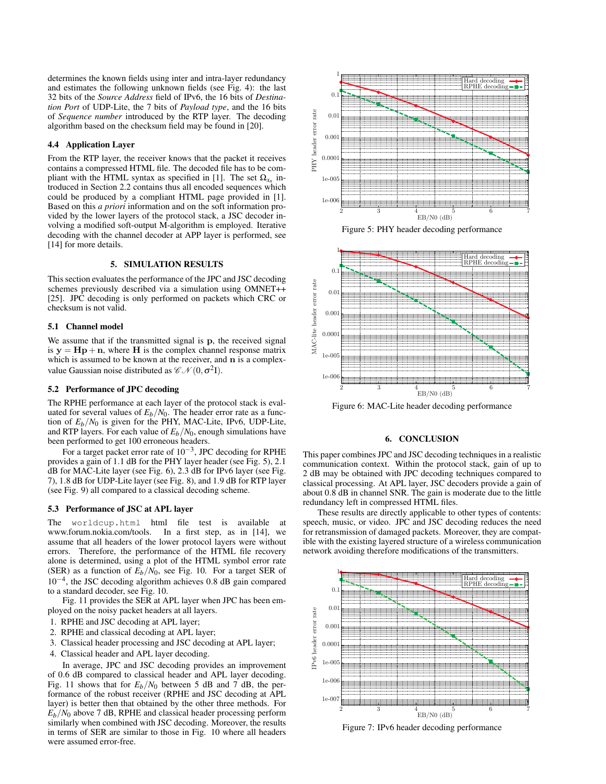determines the known fields using inter and intra-layer redundancy and estimates the following unknown fields (see Fig. 4): the last 32 bits of the *Source Address* field of IPv6, the 16 bits of *Destination Port* of UDP-Lite, the 7 bits of *Payload type*, and the 16 bits of *Sequence number* introduced by the RTP layer. The decoding algorithm based on the checksum field may be found in [20].

## 4.4 Application Layer

From the RTP layer, the receiver knows that the packet it receives contains a compressed HTML file. The decoded file has to be compliant with the HTML syntax as specified in [1]. The set  $\Omega_{x_n}$  introduced in Section 2.2 contains thus all encoded sequences which could be produced by a compliant HTML page provided in [1]. Based on this *a priori* information and on the soft information provided by the lower layers of the protocol stack, a JSC decoder involving a modified soft-output M-algorithm is employed. Iterative decoding with the channel decoder at APP layer is performed, see [14] for more details.

#### 5. SIMULATION RESULTS

This section evaluates the performance of the JPC and JSC decoding schemes previously described via a simulation using OMNET++ [25]. JPC decoding is only performed on packets which CRC or checksum is not valid.

#### 5.1 Channel model

We assume that if the transmitted signal is p, the received signal is  $y = Hp + n$ , where H is the complex channel response matrix which is assumed to be known at the receiver, and n is a complexvalue Gaussian noise distributed as  $\mathscr{CN}(0,\sigma^2I)$ .

#### 5.2 Performance of JPC decoding

The RPHE performance at each layer of the protocol stack is evaluated for several values of  $E_b/N_0$ . The header error rate as a function of  $E_b/N_0$  is given for the PHY, MAC-Lite, IPv6, UDP-Lite, and RTP layers. For each value of  $E_b/N_0$ , enough simulations have been performed to get 100 erroneous headers.

For a target packet error rate of  $10^{-3}$ , JPC decoding for RPHE provides a gain of 1.1 dB for the PHY layer header (see Fig. 5), 2.1 dB for MAC-Lite layer (see Fig. 6), 2.3 dB for IPv6 layer (see Fig. 7), 1.8 dB for UDP-Lite layer (see Fig. 8), and 1.9 dB for RTP layer (see Fig. 9) all compared to a classical decoding scheme.

#### 5.3 Performance of JSC at APL layer

The worldcup.html html file test is available at www.forum.nokia.com/tools. In a first step, as in [14], we assume that all headers of the lower protocol layers were without errors. Therefore, the performance of the HTML file recovery alone is determined, using a plot of the HTML symbol error rate (SER) as a function of  $E_b/N_0$ , see Fig. 10. For a target SER of 10−<sup>4</sup> , the JSC decoding algorithm achieves 0.8 dB gain compared to a standard decoder, see Fig. 10.

Fig. 11 provides the SER at APL layer when JPC has been employed on the noisy packet headers at all layers.

- 1. RPHE and JSC decoding at APL layer;
- 2. RPHE and classical decoding at APL layer;
- 3. Classical header processing and JSC decoding at APL layer;
- 4. Classical header and APL layer decoding.

In average, JPC and JSC decoding provides an improvement of 0.6 dB compared to classical header and APL layer decoding. Fig. 11 shows that for  $E_b/N_0$  between 5 dB and 7 dB, the performance of the robust receiver (RPHE and JSC decoding at APL layer) is better then that obtained by the other three methods. For  $E_b/N_0$  above 7 dB, RPHE and classical header processing perform similarly when combined with JSC decoding. Moreover, the results in terms of SER are similar to those in Fig. 10 where all headers were assumed error-free.



Figure 5: PHY header decoding performance



Figure 6: MAC-Lite header decoding performance

#### 6. CONCLUSION

This paper combines JPC and JSC decoding techniques in a realistic communication context. Within the protocol stack, gain of up to 2 dB may be obtained with JPC decoding techniques compared to classical processing. At APL layer, JSC decoders provide a gain of about 0.8 dB in channel SNR. The gain is moderate due to the little redundancy left in compressed HTML files.

These results are directly applicable to other types of contents: speech, music, or video. JPC and JSC decoding reduces the need for retransmission of damaged packets. Moreover, they are compatible with the existing layered structure of a wireless communication network avoiding therefore modifications of the transmitters.



Figure 7: IPv6 header decoding performance